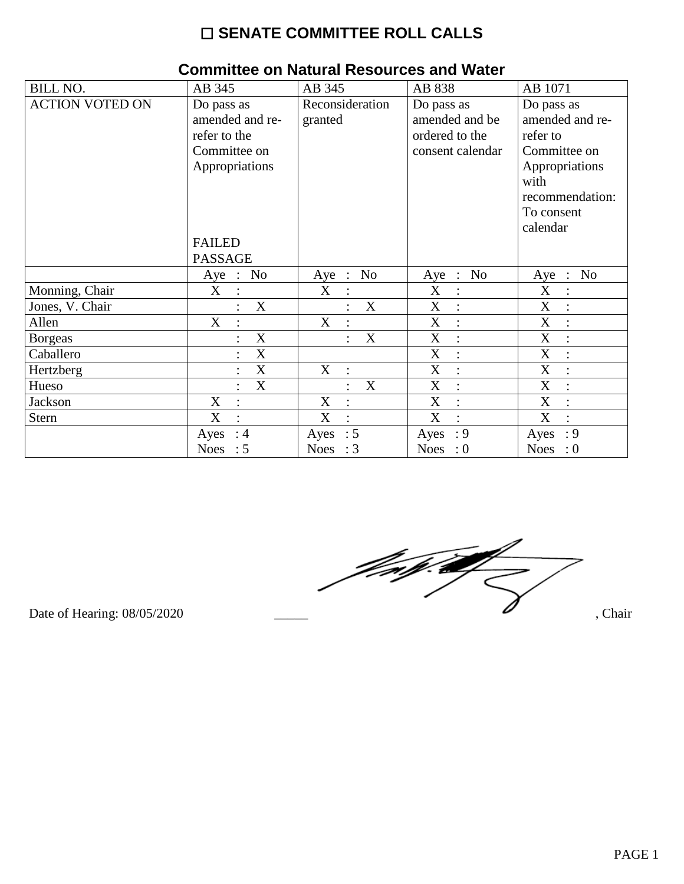### ☐ **SENATE COMMITTEE ROLL CALLS**

| <b>BILL NO.</b>        | AB 345                                                                                                             | AB 345                      | AB 838                                                             | AB 1071                                                                                                                          |
|------------------------|--------------------------------------------------------------------------------------------------------------------|-----------------------------|--------------------------------------------------------------------|----------------------------------------------------------------------------------------------------------------------------------|
| <b>ACTION VOTED ON</b> | Do pass as<br>amended and re-<br>refer to the<br>Committee on<br>Appropriations<br><b>FAILED</b><br><b>PASSAGE</b> | Reconsideration<br>granted  | Do pass as<br>amended and be<br>ordered to the<br>consent calendar | Do pass as<br>amended and re-<br>refer to<br>Committee on<br>Appropriations<br>with<br>recommendation:<br>To consent<br>calendar |
|                        | No<br>Aye<br>$\therefore$                                                                                          | No<br>Aye<br>$\mathbb{R}^2$ | Aye : No                                                           | $\therefore$ No<br>Aye                                                                                                           |
| Monning, Chair         | X                                                                                                                  | X                           | X<br>$\vdots$                                                      | X                                                                                                                                |
| Jones, V. Chair        | X                                                                                                                  | $\mathbf X$                 | $\boldsymbol{\mathrm{X}}$                                          | X                                                                                                                                |
| Allen                  | X<br>$\ddot{\cdot}$                                                                                                | X                           | $\mathbf X$<br>$\ddot{\cdot}$                                      | X                                                                                                                                |
| <b>Borgeas</b>         | X                                                                                                                  | X                           | X<br>$\ddot{\cdot}$                                                | X                                                                                                                                |
| Caballero              | $\boldsymbol{\mathrm{X}}$                                                                                          |                             | $\boldsymbol{\mathrm{X}}$<br>$\ddot{\cdot}$                        | X                                                                                                                                |
| Hertzberg              | $\mathbf X$                                                                                                        | $X_{\mathcal{L}}$           | $\mathbf X$<br>$\ddot{\cdot}$                                      | X                                                                                                                                |
| Hueso                  | X<br>$\ddot{\cdot}$                                                                                                | X                           | X<br>$\ddot{\cdot}$                                                | X                                                                                                                                |
| <b>Jackson</b>         | X                                                                                                                  | X                           | X<br>$\ddot{\cdot}$                                                | X                                                                                                                                |
| Stern                  | $\mathbf X$<br>$\ddot{\cdot}$                                                                                      | X<br>$\cdot$                | X<br>$\cdot$                                                       | X                                                                                                                                |
|                        | $\therefore$ 4<br>Ayes                                                                                             | Ayes : $5$                  | $\cdot$ 9<br>Ayes                                                  | : 9<br>Ayes                                                                                                                      |
|                        | Noes<br>$\therefore$ 5                                                                                             | Noes : $3$                  | <b>Noes</b><br>$\cdot 0$                                           | <b>Noes</b><br>$\cdot 0$                                                                                                         |

### **Committee on Natural Resources and Water**

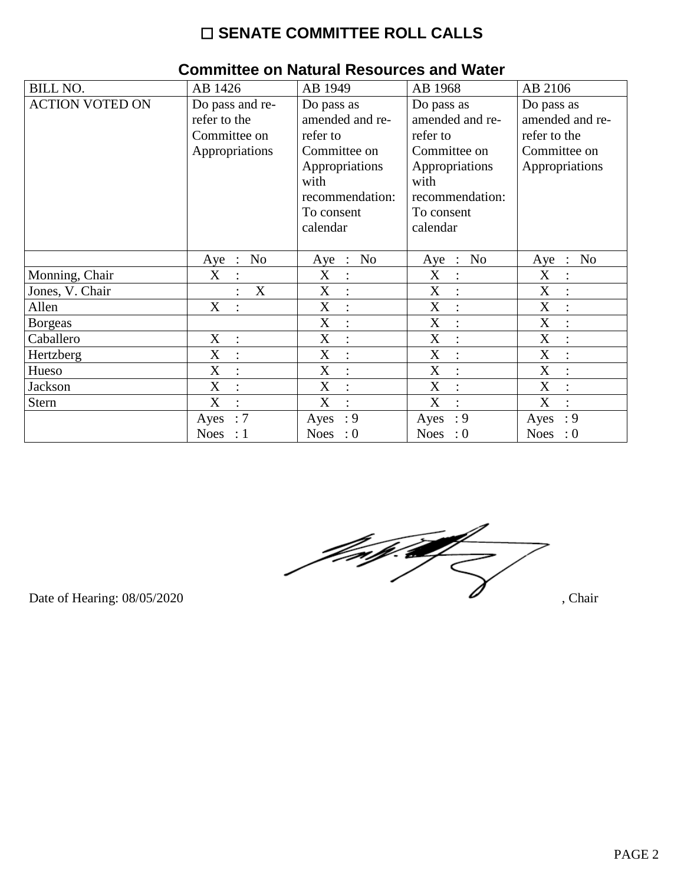# $\square$  SENATE COMMITTEE ROLL CALLS

| <b>BILL NO.</b>        | AB 1426                                                           | AB 1949                                                                                                                          | AB 1968                                                                                                                          | AB 2106                                                                         |
|------------------------|-------------------------------------------------------------------|----------------------------------------------------------------------------------------------------------------------------------|----------------------------------------------------------------------------------------------------------------------------------|---------------------------------------------------------------------------------|
| <b>ACTION VOTED ON</b> | Do pass and re-<br>refer to the<br>Committee on<br>Appropriations | Do pass as<br>amended and re-<br>refer to<br>Committee on<br>Appropriations<br>with<br>recommendation:<br>To consent<br>calendar | Do pass as<br>amended and re-<br>refer to<br>Committee on<br>Appropriations<br>with<br>recommendation:<br>To consent<br>calendar | Do pass as<br>amended and re-<br>refer to the<br>Committee on<br>Appropriations |
|                        | No<br>$Aye$ :                                                     | Aye : No                                                                                                                         | Aye : No                                                                                                                         | No<br>$Aye$ :                                                                   |
| Monning, Chair         | X<br>$\ddot{\cdot}$                                               | X<br>$\ddot{\cdot}$                                                                                                              | X                                                                                                                                | X<br>$\ddot{\cdot}$                                                             |
| Jones, V. Chair        | X                                                                 | X<br>$\ddot{\cdot}$                                                                                                              | X                                                                                                                                | X                                                                               |
| Allen                  | X                                                                 | X                                                                                                                                | X                                                                                                                                | X                                                                               |
| <b>Borgeas</b>         |                                                                   | X<br>$\ddot{\cdot}$                                                                                                              | X<br>$\ddot{\cdot}$                                                                                                              | X                                                                               |
| Caballero              | X                                                                 | X<br>$\ddot{\cdot}$                                                                                                              | X                                                                                                                                | X                                                                               |
| Hertzberg              | X<br>$\cdot$                                                      | X<br>$\ddot{\cdot}$                                                                                                              | X                                                                                                                                | X                                                                               |
| Hueso                  | X                                                                 | X                                                                                                                                | X                                                                                                                                | X                                                                               |
| Jackson                | $\boldsymbol{\mathrm{X}}$<br>$\ddot{\cdot}$                       | X<br>$\ddot{\cdot}$                                                                                                              | X                                                                                                                                | X                                                                               |
| <b>Stern</b>           | X<br>$\ddot{\cdot}$                                               | X<br>$\ddot{\cdot}$                                                                                                              | X                                                                                                                                | X                                                                               |
|                        | :7<br>Ayes                                                        | $\cdot$ 9<br>Ayes                                                                                                                | : 9<br>Ayes                                                                                                                      | $\cdot$ 9<br>Ayes                                                               |
|                        | <b>Noes</b><br>: 1                                                | <b>Noes</b><br>$\cdot 0$                                                                                                         | <b>Noes</b><br>$\therefore 0$                                                                                                    | <b>Noes</b><br>$\cdot 0$                                                        |

#### **Committee on Natural Resources and Water**



Date of Hearing: 08/05/2020